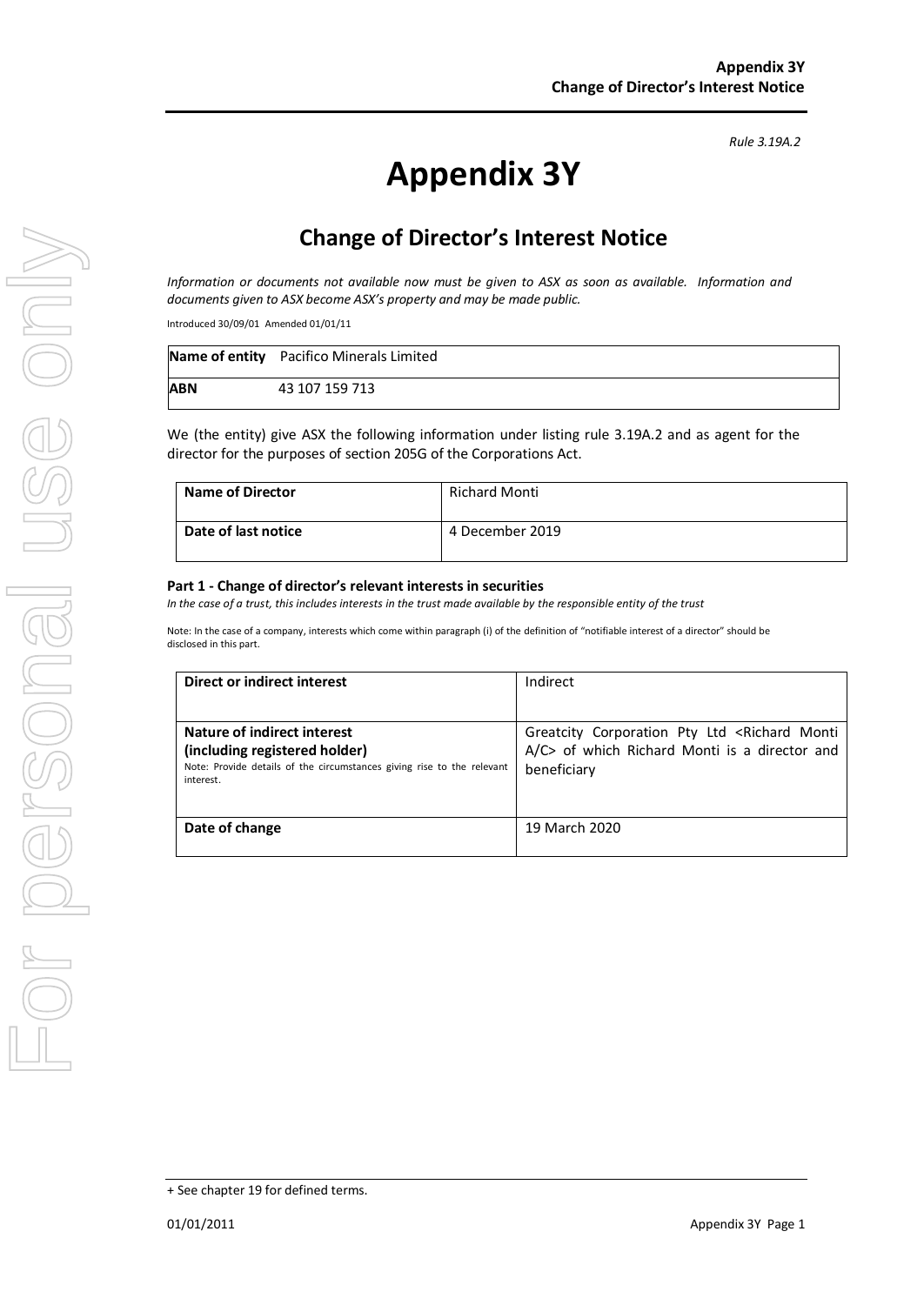# **Appendix 3Y**

# **Change of Director's Interest Notice**

*Information or documents not available now must be given to ASX as soon as available. Information and documents given to ASX become ASX's property and may be made public.*

Introduced 30/09/01 Amended 01/01/11

|            | Name of entity Pacifico Minerals Limited |
|------------|------------------------------------------|
| <b>ABN</b> | 43 107 159 713                           |

We (the entity) give ASX the following information under listing rule 3.19A.2 and as agent for the director for the purposes of section 205G of the Corporations Act.

| <b>Name of Director</b> | Richard Monti   |
|-------------------------|-----------------|
| Date of last notice     | 4 December 2019 |

#### **Part 1 - Change of director's relevant interests in securities**

*In the case of a trust, this includes interests in the trust made available by the responsible entity of the trust*

Note: In the case of a company, interests which come within paragraph (i) of the definition of "notifiable interest of a director" should be disclosed in this part.

| Direct or indirect interest                                                                             | Indirect                                                          |  |
|---------------------------------------------------------------------------------------------------------|-------------------------------------------------------------------|--|
|                                                                                                         |                                                                   |  |
| Nature of indirect interest                                                                             | Greatcity Corporation Pty Ltd <richard monti<="" th=""></richard> |  |
| (including registered holder)<br>Note: Provide details of the circumstances giving rise to the relevant | A/C> of which Richard Monti is a director and                     |  |
| interest.                                                                                               | beneficiary                                                       |  |
|                                                                                                         |                                                                   |  |
| Date of change                                                                                          | 19 March 2020                                                     |  |
|                                                                                                         |                                                                   |  |

*Rule 3.19A.2*

<sup>+</sup> See chapter 19 for defined terms.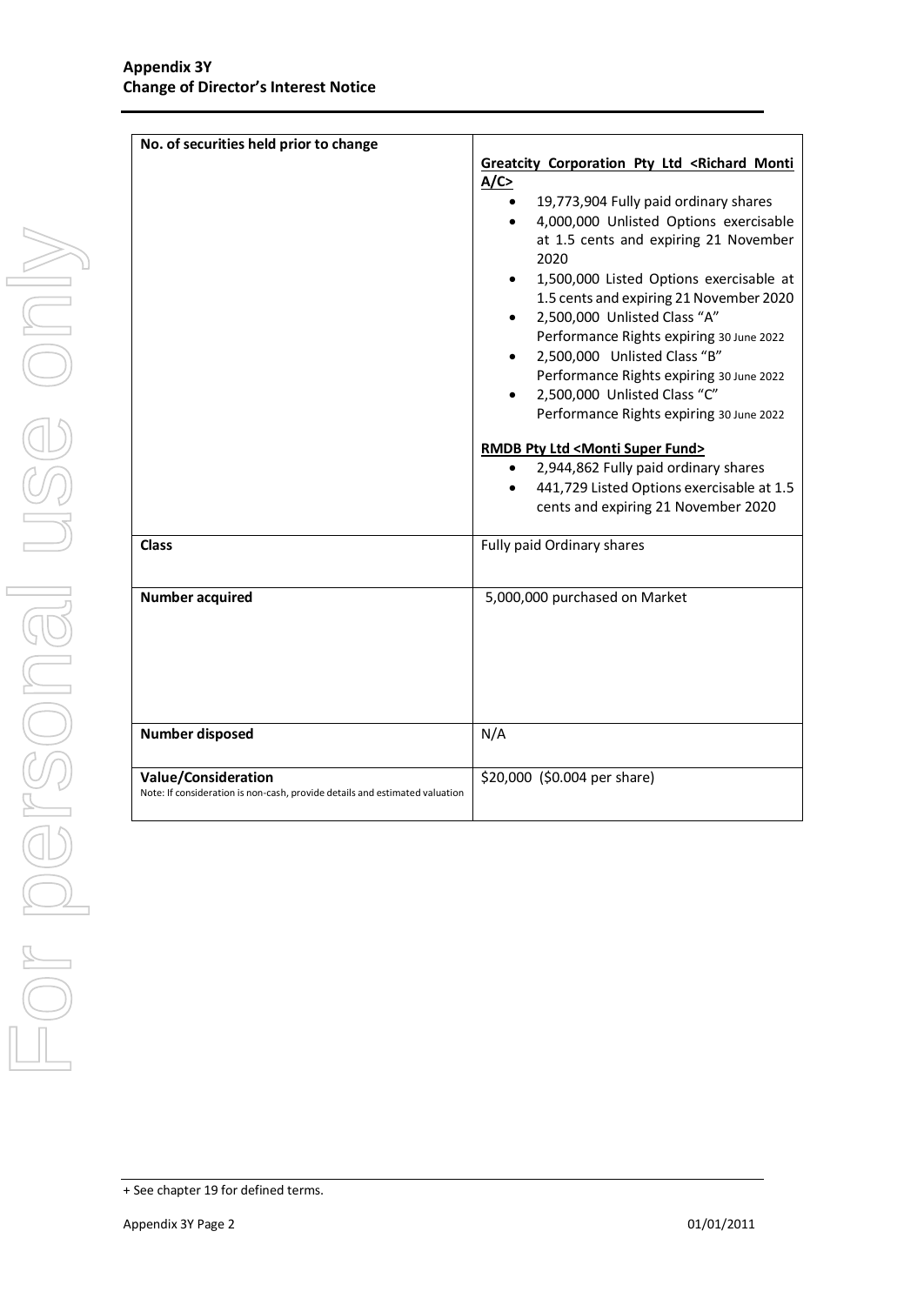| No. of securities held prior to change                                                                    | Greatcity Corporation Pty Ltd <richard monti<br="">A/C<br/>19,773,904 Fully paid ordinary shares<br/>4,000,000 Unlisted Options exercisable<br/>at 1.5 cents and expiring 21 November<br/>2020<br/>1,500,000 Listed Options exercisable at<br/>1.5 cents and expiring 21 November 2020<br/>2,500,000 Unlisted Class "A"<br/>Performance Rights expiring 30 June 2022<br/>2,500,000 Unlisted Class "B"</richard> |
|-----------------------------------------------------------------------------------------------------------|-----------------------------------------------------------------------------------------------------------------------------------------------------------------------------------------------------------------------------------------------------------------------------------------------------------------------------------------------------------------------------------------------------------------|
| <b>Class</b>                                                                                              | Performance Rights expiring 30 June 2022<br>2,500,000 Unlisted Class "C"<br>Performance Rights expiring 30 June 2022<br>RMDB Pty Ltd <monti fund="" super=""><br/>2,944,862 Fully paid ordinary shares<br/>441,729 Listed Options exercisable at 1.5<br/>cents and expiring 21 November 2020<br/>Fully paid Ordinary shares</monti>                                                                             |
| <b>Number acquired</b>                                                                                    | 5,000,000 purchased on Market                                                                                                                                                                                                                                                                                                                                                                                   |
| <b>Number disposed</b>                                                                                    | N/A                                                                                                                                                                                                                                                                                                                                                                                                             |
| <b>Value/Consideration</b><br>Note: If consideration is non-cash, provide details and estimated valuation | \$20,000 (\$0.004 per share)                                                                                                                                                                                                                                                                                                                                                                                    |

<sup>+</sup> See chapter 19 for defined terms.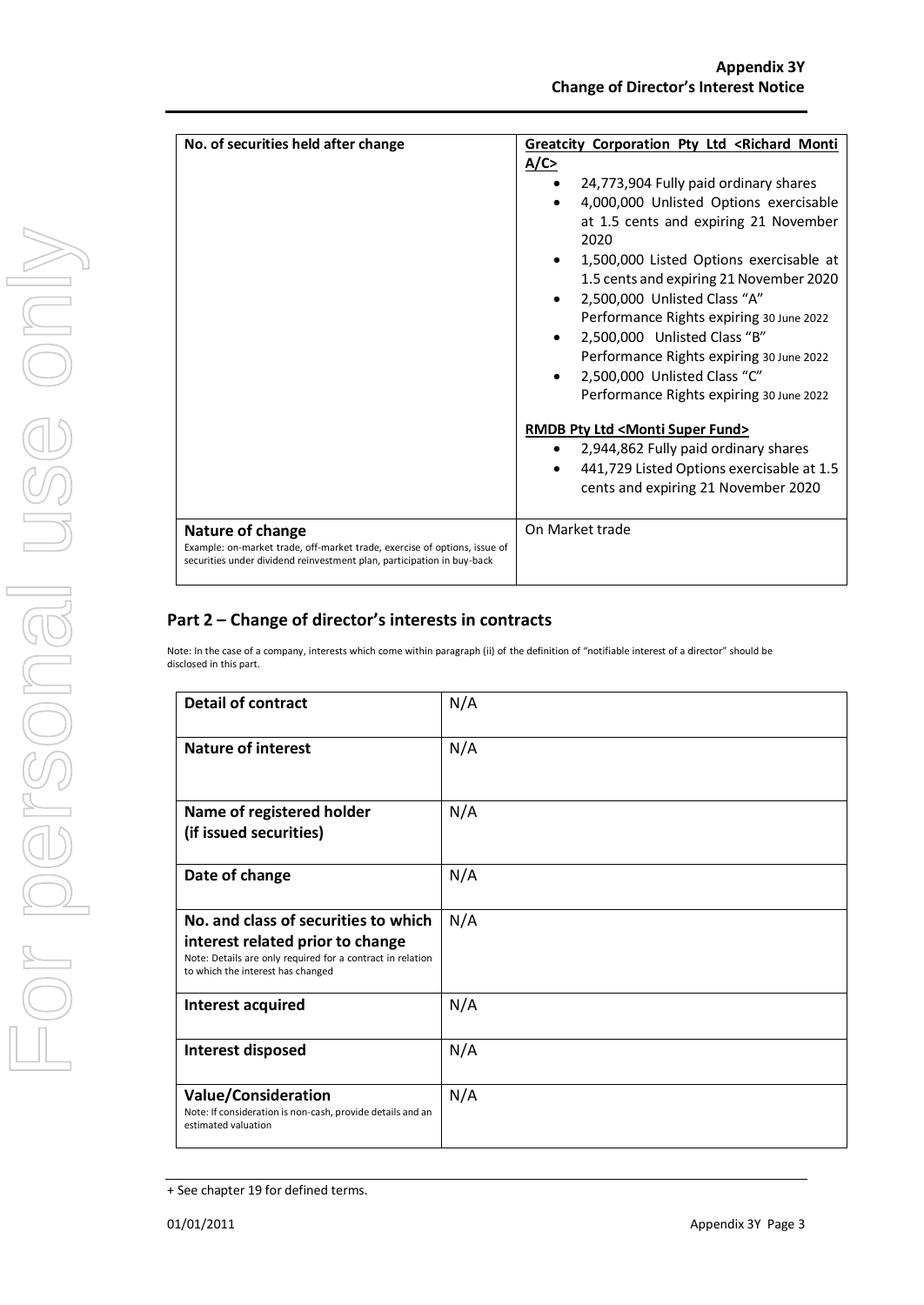| No. of securities held after change                                       | Greatcity Corporation Pty Ltd <richard monti<="" th=""></richard> |  |
|---------------------------------------------------------------------------|-------------------------------------------------------------------|--|
|                                                                           | A/C                                                               |  |
|                                                                           | 24,773,904 Fully paid ordinary shares<br>٠                        |  |
|                                                                           | 4,000,000 Unlisted Options exercisable                            |  |
|                                                                           | at 1.5 cents and expiring 21 November<br>2020                     |  |
|                                                                           | 1,500,000 Listed Options exercisable at                           |  |
|                                                                           | 1.5 cents and expiring 21 November 2020                           |  |
|                                                                           | 2,500,000 Unlisted Class "A"                                      |  |
|                                                                           | Performance Rights expiring 30 June 2022                          |  |
|                                                                           | 2,500,000 Unlisted Class "B"                                      |  |
|                                                                           | Performance Rights expiring 30 June 2022                          |  |
|                                                                           | 2,500,000 Unlisted Class "C"                                      |  |
|                                                                           | Performance Rights expiring 30 June 2022                          |  |
|                                                                           | <b>RMDB Pty Ltd <monti fund="" super=""></monti></b>              |  |
|                                                                           | 2,944,862 Fully paid ordinary shares<br>$\bullet$                 |  |
|                                                                           | 441,729 Listed Options exercisable at 1.5<br>$\bullet$            |  |
|                                                                           | cents and expiring 21 November 2020                               |  |
|                                                                           |                                                                   |  |
| <b>Nature of change</b>                                                   | On Market trade                                                   |  |
| Example: on-market trade, off-market trade, exercise of options, issue of |                                                                   |  |
| securities under dividend reinvestment plan, participation in buy-back    |                                                                   |  |
|                                                                           |                                                                   |  |

### Part 2 – Change of director's interests in contracts

 $44.72$  Listed Options exercise at 1.5 cents exercise at 1.5 cents exercise at 1.5 cents exercise at 1.5 cents exercise at 1.5 cents exercise at 1.5 cents exercise at 1.5 cents exercise at 1.5 cents exercise at 1.5 cents Note: In the case of a company, interests which come within paragraph (ii) of the definition of "notifiable interest of a director" should be<br>disclosed in this part. disclosed in this part.

| <b>Detail of contract</b>                                                                                                                                                   | N/A |  |
|-----------------------------------------------------------------------------------------------------------------------------------------------------------------------------|-----|--|
| <b>Nature of interest</b>                                                                                                                                                   | N/A |  |
| Name of registered holder<br>(if issued securities)                                                                                                                         | N/A |  |
| Date of change                                                                                                                                                              | N/A |  |
| No. and class of securities to which<br>interest related prior to change<br>Note: Details are only required for a contract in relation<br>to which the interest has changed | N/A |  |
| Interest acquired                                                                                                                                                           | N/A |  |
| Interest disposed                                                                                                                                                           | N/A |  |
| Value/Consideration<br>Note: If consideration is non-cash, provide details and an<br>estimated valuation                                                                    | N/A |  |

<sup>+</sup> See chapter 19 for defined terms.